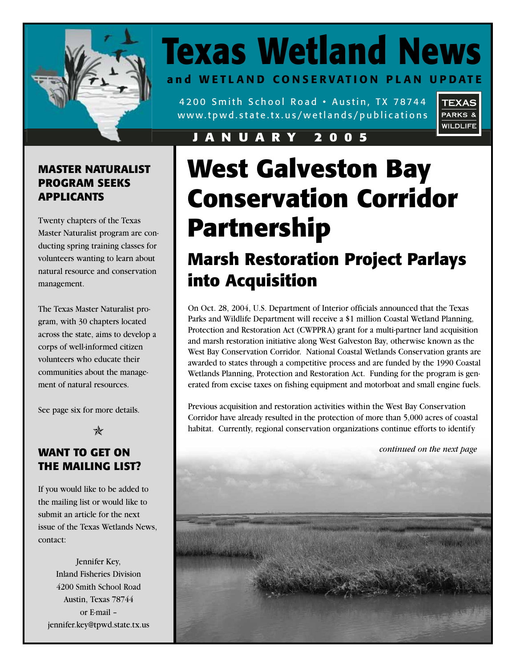

## **Texas Wetland News and WETLAND CONSERVATION PLAN UPDATE**

4200 Smith School Road • Austin, TX 78744 www.tpwd.state.tx.us/wetlands/publications



#### **JANUARY 2005**

### **MASTER NATURALIST PROGRAM SEEKS APPLICANTS**

Twenty chapters of the Texas Master Naturalist program are conducting spring training classes for volunteers wanting to learn about natural resource and conservation management.

The Texas Master Naturalist program, with 30 chapters located across the state, aims to develop a corps of well-informed citizen volunteers who educate their communities about the management of natural resources.

See page six for more details.

 $\ast$ 

### **WANT TO GET ON THE MAILING LIST?**

If you would like to be added to the mailing list or would like to submit an article for the next issue of the Texas Wetlands News, contact:

Jennifer Key, Inland Fisheries Division 4200 Smith School Road Austin, Texas 78744 or E-mail – jennifer.key@tpwd.state.tx.us

# **West Galveston Bay Conservation Corridor Partnership**

## **Marsh Restoration Project Parlays into Acquisition**

On Oct. 28, 2004, U.S. Department of Interior officials announced that the Texas Parks and Wildlife Department will receive a \$1 million Coastal Wetland Planning, Protection and Restoration Act (CWPPRA) grant for a multi-partner land acquisition and marsh restoration initiative along West Galveston Bay, otherwise known as the West Bay Conservation Corridor. National Coastal Wetlands Conservation grants are awarded to states through a competitive process and are funded by the 1990 Coastal Wetlands Planning, Protection and Restoration Act. Funding for the program is generated from excise taxes on fishing equipment and motorboat and small engine fuels.

Previous acquisition and restoration activities within the West Bay Conservation Corridor have already resulted in the protection of more than 5,000 acres of coastal habitat. Currently, regional conservation organizations continue efforts to identify

*continued on the next page*

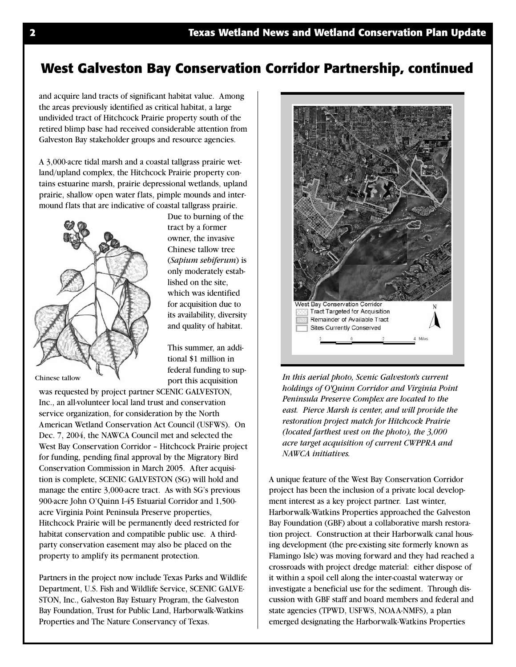### **West Galveston Bay Conservation Corridor Partnership, continued**

and acquire land tracts of significant habitat value. Among the areas previously identified as critical habitat, a large undivided tract of Hitchcock Prairie property south of the retired blimp base had received considerable attention from Galveston Bay stakeholder groups and resource agencies.

A 3,000-acre tidal marsh and a coastal tallgrass prairie wetland/upland complex, the Hitchcock Prairie property contains estuarine marsh, prairie depressional wetlands, upland prairie, shallow open water flats, pimple mounds and intermound flats that are indicative of coastal tallgrass prairie.



Due to burning of the tract by a former owner, the invasive Chinese tallow tree (*Sapium sebiferum*) is only moderately established on the site, which was identified for acquisition due to its availability, diversity and quality of habitat.

This summer, an additional \$1 million in federal funding to support this acquisition

Chinese tallow

was requested by project partner SCENIC GALVESTON, Inc., an all-volunteer local land trust and conservation service organization, for consideration by the North American Wetland Conservation Act Council (USFWS). On Dec. 7, 2004, the NAWCA Council met and selected the West Bay Conservation Corridor – Hitchcock Prairie project for funding, pending final approval by the Migratory Bird Conservation Commission in March 2005. After acquisition is complete, SCENIC GALVESTON (SG) will hold and manage the entire 3,000-acre tract. As with SG's previous 900-acre John O'Quinn I-45 Estuarial Corridor and 1,500 acre Virginia Point Peninsula Preserve properties, Hitchcock Prairie will be permanently deed restricted for habitat conservation and compatible public use. A thirdparty conservation easement may also be placed on the property to amplify its permanent protection.

Partners in the project now include Texas Parks and Wildlife Department, U.S. Fish and Wildlife Service, SCENIC GALVE-STON, Inc., Galveston Bay Estuary Program, the Galveston Bay Foundation, Trust for Public Land, Harborwalk-Watkins Properties and The Nature Conservancy of Texas.



*In this aerial photo, Scenic Galveston's current holdings of O'Quinn Corridor and Virginia Point Peninsula Preserve Complex are located to the east. Pierce Marsh is center, and will provide the restoration project match for Hitchcock Prairie (located farthest west on the photo), the 3,000 acre target acquisition of current CWPPRA and NAWCA initiatives.*

A unique feature of the West Bay Conservation Corridor project has been the inclusion of a private local development interest as a key project partner. Last winter, Harborwalk-Watkins Properties approached the Galveston Bay Foundation (GBF) about a collaborative marsh restoration project. Construction at their Harborwalk canal housing development (the pre-existing site formerly known as Flamingo Isle) was moving forward and they had reached a crossroads with project dredge material: either dispose of it within a spoil cell along the inter-coastal waterway or investigate a beneficial use for the sediment. Through discussion with GBF staff and board members and federal and state agencies (TPWD, USFWS, NOAA-NMFS), a plan emerged designating the Harborwalk-Watkins Properties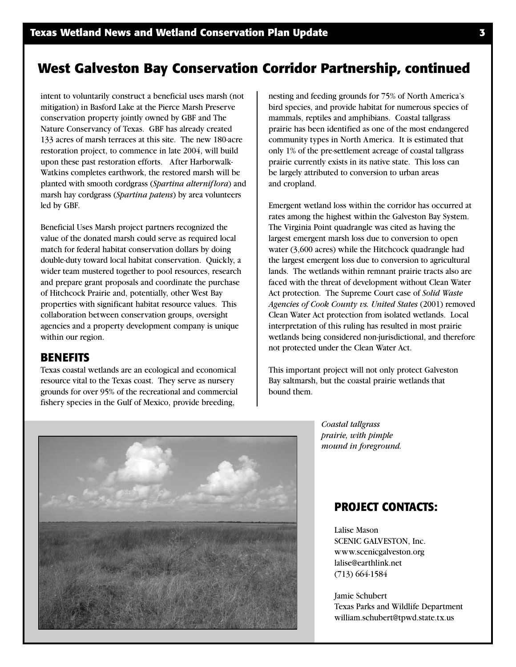### **West Galveston Bay Conservation Corridor Partnership, continued**

intent to voluntarily construct a beneficial uses marsh (not mitigation) in Basford Lake at the Pierce Marsh Preserve conservation property jointly owned by GBF and The Nature Conservancy of Texas. GBF has already created 133 acres of marsh terraces at this site. The new 180-acre restoration project, to commence in late 2004, will build upon these past restoration efforts. After Harborwalk-Watkins completes earthwork, the restored marsh will be planted with smooth cordgrass (*Spartina alterniflora*) and marsh hay cordgrass (*Spartina patens*) by area volunteers led by GBF.

Beneficial Uses Marsh project partners recognized the value of the donated marsh could serve as required local match for federal habitat conservation dollars by doing double-duty toward local habitat conservation. Quickly, a wider team mustered together to pool resources, research and prepare grant proposals and coordinate the purchase of Hitchcock Prairie and, potentially, other West Bay properties with significant habitat resource values. This collaboration between conservation groups, oversight agencies and a property development company is unique within our region.

#### **BENEFITS**

Texas coastal wetlands are an ecological and economical resource vital to the Texas coast. They serve as nursery grounds for over 95% of the recreational and commercial fishery species in the Gulf of Mexico, provide breeding,

nesting and feeding grounds for 75% of North America's bird species, and provide habitat for numerous species of mammals, reptiles and amphibians. Coastal tallgrass prairie has been identified as one of the most endangered community types in North America. It is estimated that only 1% of the pre-settlement acreage of coastal tallgrass prairie currently exists in its native state. This loss can be largely attributed to conversion to urban areas and cropland.

Emergent wetland loss within the corridor has occurred at rates among the highest within the Galveston Bay System. The Virginia Point quadrangle was cited as having the largest emergent marsh loss due to conversion to open water (3,600 acres) while the Hitchcock quadrangle had the largest emergent loss due to conversion to agricultural lands. The wetlands within remnant prairie tracts also are faced with the threat of development without Clean Water Act protection. The Supreme Court case of *Solid Waste Agencies of Cook County vs. United States* (2001) removed Clean Water Act protection from isolated wetlands. Local interpretation of this ruling has resulted in most prairie wetlands being considered non-jurisdictional, and therefore not protected under the Clean Water Act.

This important project will not only protect Galveston Bay saltmarsh, but the coastal prairie wetlands that bound them.

*Coastal tallgrass prairie, with pimple mound in foreground.*

#### **PROJECT CONTACTS:**

Lalise Mason SCENIC GALVESTON, Inc. www.scenicgalveston.org lalise@earthlink.net (713) 664-1584

Jamie Schubert Texas Parks and Wildlife Department william.schubert@tpwd.state.tx.us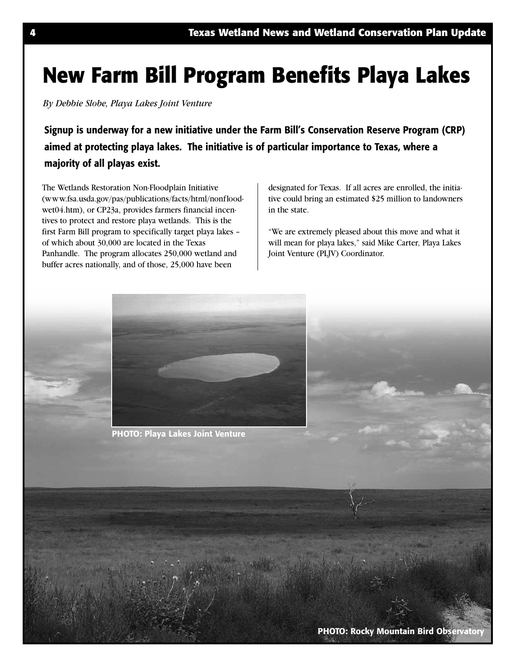## **New Farm Bill Program Benefits Playa Lakes**

*By Debbie Slobe, Playa Lakes Joint Venture*

**Signup is underway for a new initiative under the Farm Bill's Conservation Reserve Program (CRP) aimed at protecting playa lakes. The initiative is of particular importance to Texas, where a majority of all playas exist.**

The Wetlands Restoration Non-Floodplain Initiative (www.fsa.usda.gov/pas/publications/facts/html/nonfloodwet04.htm), or CP23a, provides farmers financial incentives to protect and restore playa wetlands. This is the first Farm Bill program to specifically target playa lakes – of which about 30,000 are located in the Texas Panhandle. The program allocates 250,000 wetland and buffer acres nationally, and of those, 25,000 have been

designated for Texas. If all acres are enrolled, the initiative could bring an estimated \$25 million to landowners in the state.

"We are extremely pleased about this move and what it will mean for playa lakes," said Mike Carter, Playa Lakes Joint Venture (PLJV) Coordinator.



**PHOTO: Playa Lakes Joint Venture**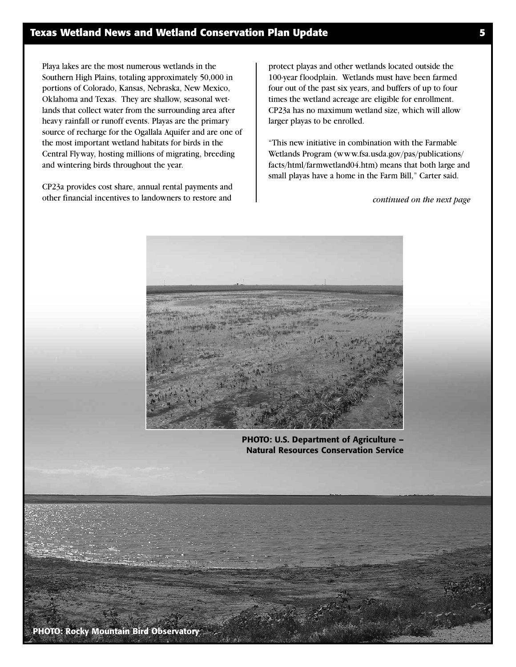Playa lakes are the most numerous wetlands in the Southern High Plains, totaling approximately 50,000 in portions of Colorado, Kansas, Nebraska, New Mexico, Oklahoma and Texas. They are shallow, seasonal wetlands that collect water from the surrounding area after heavy rainfall or runoff events. Playas are the primary source of recharge for the Ogallala Aquifer and are one of the most important wetland habitats for birds in the Central Flyway, hosting millions of migrating, breeding and wintering birds throughout the year.

CP23a provides cost share, annual rental payments and other financial incentives to landowners to restore and

protect playas and other wetlands located outside the 100-year floodplain. Wetlands must have been farmed four out of the past six years, and buffers of up to four times the wetland acreage are eligible for enrollment. CP23a has no maximum wetland size, which will allow larger playas to be enrolled.

"This new initiative in combination with the Farmable Wetlands Program (www.fsa.usda.gov/pas/publications/ facts/html/farmwetland04.htm) means that both large and small playas have a home in the Farm Bill," Carter said.

*continued on the next page*



**PHOTO: U.S. Department of Agriculture – Natural Resources Conservation Service**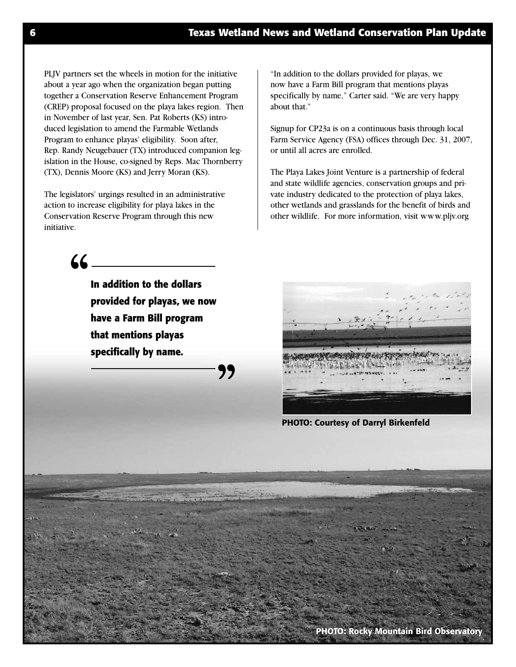PLJV partners set the wheels in motion for the initiative about a year ago when the organization began putting together a Conservation Reserve Enhancement Program (CREP) proposal focused on the playa lakes region. Then in November of last year, Sen. Pat Roberts (KS) introduced legislation to amend the Farmable Wetlands Program to enhance playas' eligibility. Soon after, Rep. Randy Neugebauer (TX) introduced companion legislation in the House, co-signed by Reps. Mac Thornberry (TX), Dennis Moore (KS) and Jerry Moran (KS).

The legislators' urgings resulted in an administrative action to increase eligibility for playa lakes in the Conservation Reserve Program through this new initiative.

"In addition to the dollars provided for playas, we now have a Farm Bill program that mentions playas specifically by name," Carter said. "We are very happy about that."

Signup for CP23a is on a continuous basis through local Farm Service Agency (FSA) offices through Dec. 31, 2007, or until all acres are enrolled.

The Playa Lakes Joint Venture is a partnership of federal and state wildlife agencies, conservation groups and private industry dedicated to the protection of playa lakes, other wetlands and grasslands for the benefit of birds and other wildlife. For more information, visit www.pljv.org

**"**

**In addition to the dollars provided for playas, we now have a Farm Bill program that mentions playas specifically by name.**

**"**



**PHOTO: Courtesy of Darryl Birkenfeld**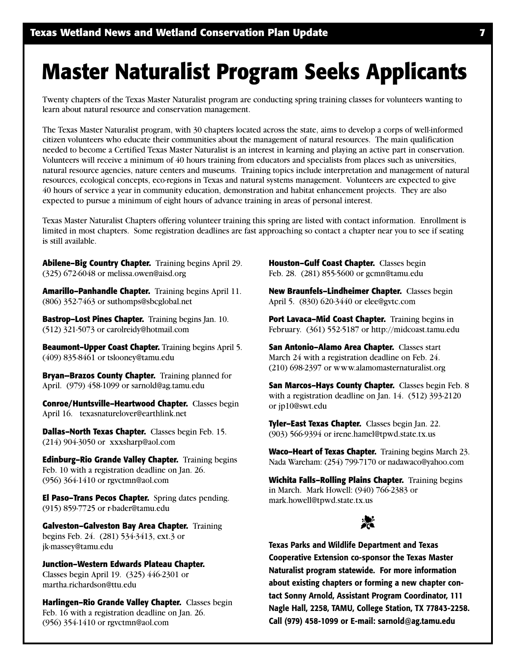## **Master Naturalist Program Seeks Applicants**

Twenty chapters of the Texas Master Naturalist program are conducting spring training classes for volunteers wanting to learn about natural resource and conservation management.

The Texas Master Naturalist program, with 30 chapters located across the state, aims to develop a corps of well-informed citizen volunteers who educate their communities about the management of natural resources. The main qualification needed to become a Certified Texas Master Naturalist is an interest in learning and playing an active part in conservation. Volunteers will receive a minimum of 40 hours training from educators and specialists from places such as universities, natural resource agencies, nature centers and museums. Training topics include interpretation and management of natural resources, ecological concepts, eco-regions in Texas and natural systems management. Volunteers are expected to give 40 hours of service a year in community education, demonstration and habitat enhancement projects. They are also expected to pursue a minimum of eight hours of advance training in areas of personal interest.

Texas Master Naturalist Chapters offering volunteer training this spring are listed with contact information. Enrollment is limited in most chapters. Some registration deadlines are fast approaching so contact a chapter near you to see if seating is still available.

**Abilene–Big Country Chapter.** Training begins April 29. (325) 672-6048 or melissa.owen@aisd.org

**Amarillo–Panhandle Chapter.** Training begins April 11. (806) 352-7463 or suthomps@sbcglobal.net

**Bastrop–Lost Pines Chapter.** Training begins Jan. 10. (512) 321-5073 or carolreidy@hotmail.com

**Beaumont–Upper Coast Chapter.** Training begins April 5. (409) 835-8461 or tslooney@tamu.edu

**Bryan—Brazos County Chapter.** Training planned for April. (979) 458-1099 or sarnold@ag.tamu.edu

**Conroe/Huntsville–Heartwood Chapter.** Classes begin April 16. texasnaturelover@earthlink.net

**Dallas–North Texas Chapter.** Classes begin Feb. 15. (214) 904-3050 or xxxsharp@aol.com

**Edinburg–Rio Grande Valley Chapter.** Training begins Feb. 10 with a registration deadline on Jan. 26. (956) 364-1410 or rgvctmn@aol.com

**El Paso–Trans Pecos Chapter.** Spring dates pending. (915) 859-7725 or r-bader@tamu.edu

**Galveston–Galveston Bay Area Chapter.** Training begins Feb. 24. (281) 534-3413, ext.3 or jk-massey@tamu.edu

**Junction–Western Edwards Plateau Chapter.** Classes begin April 19. (325) 446-2301 or martha.richardson@ttu.edu

**Harlingen–Rio Grande Valley Chapter.** Classes begin Feb. 16 with a registration deadline on Jan. 26. (956) 354-1410 or rgvctmn@aol.com

**Houston–Gulf Coast Chapter.** Classes begin Feb. 28. (281) 855-5600 or gcmn@tamu.edu

**New Braunfels–Lindheimer Chapter.** Classes begin April 5. (830) 620-3440 or elee@gvtc.com

Port Lavaca-Mid Coast Chapter. Training begins in February. (361) 552-5187 or http://midcoast.tamu.edu

**San Antonio–Alamo Area Chapter.** Classes start March 24 with a registration deadline on Feb. 24. (210) 698-2397 or www.alamomasternaturalist.org

**San Marcos–Hays County Chapter.** Classes begin Feb. 8 with a registration deadline on Jan. 14. (512) 393-2120 or jp10@swt.edu

**Tyler–East Texas Chapter.** Classes begin Jan. 22. (903) 566-9394 or irene.hamel@tpwd.state.tx.us

**Waco–Heart of Texas Chapter.** Training begins March 23. Nada Wareham: (254) 799-7170 or nadawaco@yahoo.com

**Wichita Falls–Rolling Plains Chapter.** Training begins in March. Mark Howell: (940) 766-2383 or mark.howell@tpwd.state.tx.us

## 淡

**Texas Parks and Wildlife Department and Texas Cooperative Extension co-sponsor the Texas Master Naturalist program statewide. For more information about existing chapters or forming a new chapter contact Sonny Arnold, Assistant Program Coordinator, 111 Nagle Hall, 2258, TAMU, College Station, TX 77843-2258. Call (979) 458-1099 or E-mail: sarnold@ag.tamu.edu**